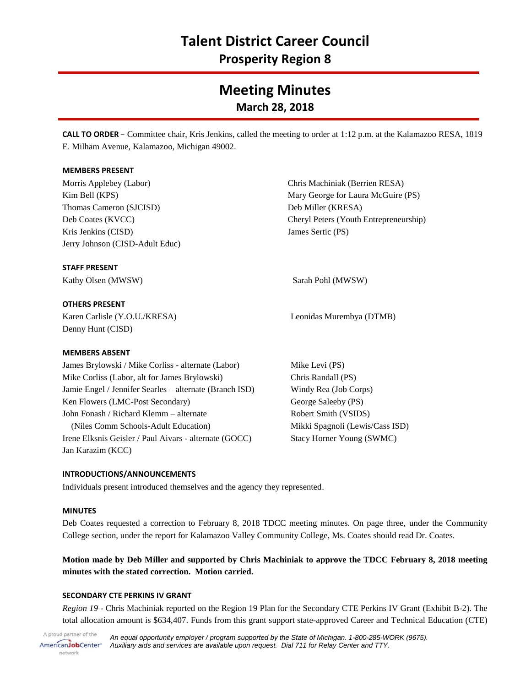# **Talent District Career Council**

**Prosperity Region 8**

## **Meeting Minutes March 28, 2018**

**CALL TO ORDER** – Committee chair, Kris Jenkins, called the meeting to order at 1:12 p.m. at the Kalamazoo RESA, 1819 E. Milham Avenue, Kalamazoo, Michigan 49002.

## **MEMBERS PRESENT**

Morris Applebey (Labor) Kim Bell (KPS) Thomas Cameron (SJCISD) Deb Coates (KVCC) Kris Jenkins (CISD) Jerry Johnson (CISD-Adult Educ)

Chris Machiniak (Berrien RESA) Mary George for Laura McGuire (PS) Deb Miller (KRESA) Cheryl Peters (Youth Entrepreneurship) James Sertic (PS)

## **STAFF PRESENT**

Kathy Olsen (MWSW) Sarah Pohl (MWSW)

## **OTHERS PRESENT**

Karen Carlisle (Y.O.U./KRESA) Denny Hunt (CISD)

## **MEMBERS ABSENT**

James Brylowski / Mike Corliss - alternate (Labor) Mike Corliss (Labor, alt for James Brylowski) Jamie Engel / Jennifer Searles – alternate (Branch ISD) Ken Flowers (LMC-Post Secondary) John Fonash / Richard Klemm – alternate (Niles Comm Schools-Adult Education) Irene Elksnis Geisler / Paul Aivars - alternate (GOCC) Jan Karazim (KCC)

## **INTRODUCTIONS/ANNOUNCEMENTS**

Individuals present introduced themselves and the agency they represented.

## **MINUTES**

Deb Coates requested a correction to February 8, 2018 TDCC meeting minutes. On page three, under the Community College section, under the report for Kalamazoo Valley Community College, Ms. Coates should read Dr. Coates.

## **Motion made by Deb Miller and supported by Chris Machiniak to approve the TDCC February 8, 2018 meeting minutes with the stated correction. Motion carried.**

## **SECONDARY CTE PERKINS IV GRANT**

*Region 19* - Chris Machiniak reported on the Region 19 Plan for the Secondary CTE Perkins IV Grant (Exhibit B-2). The total allocation amount is \$634,407. Funds from this grant support state-approved Career and Technical Education (CTE)

A proud partner of the AmericanJobCenter<sup>®</sup> network

Mike Levi (PS) Chris Randall (PS) Windy Rea (Job Corps) George Saleeby (PS) Robert Smith (VSIDS) Mikki Spagnoli (Lewis/Cass ISD) Stacy Horner Young (SWMC)

Leonidas Murembya (DTMB)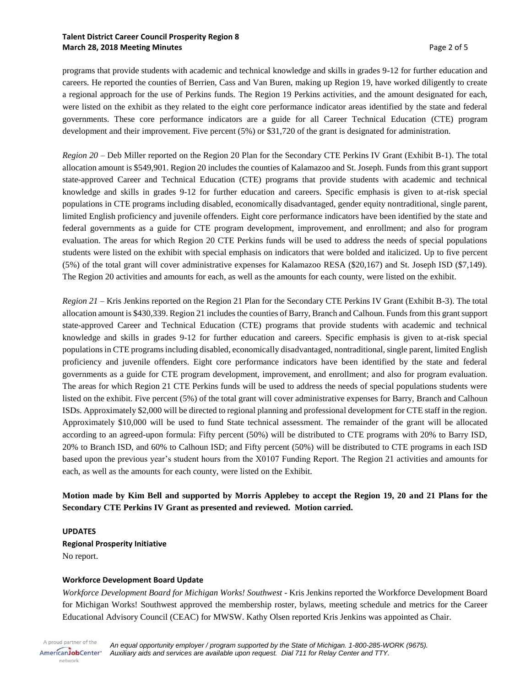## **Talent District Career Council Prosperity Region 8 March 28, 2018 Meeting Minutes** Page 2 of 5

programs that provide students with academic and technical knowledge and skills in grades 9-12 for further education and careers. He reported the counties of Berrien, Cass and Van Buren, making up Region 19, have worked diligently to create a regional approach for the use of Perkins funds. The Region 19 Perkins activities, and the amount designated for each, were listed on the exhibit as they related to the eight core performance indicator areas identified by the state and federal governments. These core performance indicators are a guide for all Career Technical Education (CTE) program development and their improvement. Five percent (5%) or \$31,720 of the grant is designated for administration.

*Region 20* – Deb Miller reported on the Region 20 Plan for the Secondary CTE Perkins IV Grant (Exhibit B-1). The total allocation amount is \$549,901. Region 20 includes the counties of Kalamazoo and St. Joseph. Funds from this grant support state-approved Career and Technical Education (CTE) programs that provide students with academic and technical knowledge and skills in grades 9-12 for further education and careers. Specific emphasis is given to at-risk special populations in CTE programs including disabled, economically disadvantaged, gender equity nontraditional, single parent, limited English proficiency and juvenile offenders. Eight core performance indicators have been identified by the state and federal governments as a guide for CTE program development, improvement, and enrollment; and also for program evaluation. The areas for which Region 20 CTE Perkins funds will be used to address the needs of special populations students were listed on the exhibit with special emphasis on indicators that were bolded and italicized. Up to five percent (5%) of the total grant will cover administrative expenses for Kalamazoo RESA (\$20,167) and St. Joseph ISD (\$7,149). The Region 20 activities and amounts for each, as well as the amounts for each county, were listed on the exhibit.

*Region 21* – Kris Jenkins reported on the Region 21 Plan for the Secondary CTE Perkins IV Grant (Exhibit B-3). The total allocation amount is \$430,339. Region 21 includes the counties of Barry, Branch and Calhoun. Funds from this grant support state-approved Career and Technical Education (CTE) programs that provide students with academic and technical knowledge and skills in grades 9-12 for further education and careers. Specific emphasis is given to at-risk special populations in CTE programs including disabled, economically disadvantaged, nontraditional, single parent, limited English proficiency and juvenile offenders. Eight core performance indicators have been identified by the state and federal governments as a guide for CTE program development, improvement, and enrollment; and also for program evaluation. The areas for which Region 21 CTE Perkins funds will be used to address the needs of special populations students were listed on the exhibit. Five percent (5%) of the total grant will cover administrative expenses for Barry, Branch and Calhoun ISDs. Approximately \$2,000 will be directed to regional planning and professional development for CTE staff in the region. Approximately \$10,000 will be used to fund State technical assessment. The remainder of the grant will be allocated according to an agreed-upon formula: Fifty percent (50%) will be distributed to CTE programs with 20% to Barry ISD, 20% to Branch ISD, and 60% to Calhoun ISD; and Fifty percent (50%) will be distributed to CTE programs in each ISD based upon the previous year's student hours from the X0107 Funding Report. The Region 21 activities and amounts for each, as well as the amounts for each county, were listed on the Exhibit.

## **Motion made by Kim Bell and supported by Morris Applebey to accept the Region 19, 20 and 21 Plans for the Secondary CTE Perkins IV Grant as presented and reviewed. Motion carried.**

## **UPDATES**

**Regional Prosperity Initiative** No report.

## **Workforce Development Board Update**

*Workforce Development Board for Michigan Works! Southwest* - Kris Jenkins reported the Workforce Development Board for Michigan Works! Southwest approved the membership roster, bylaws, meeting schedule and metrics for the Career Educational Advisory Council (CEAC) for MWSW. Kathy Olsen reported Kris Jenkins was appointed as Chair.

A proud partner of the AmericanJobCenter\* network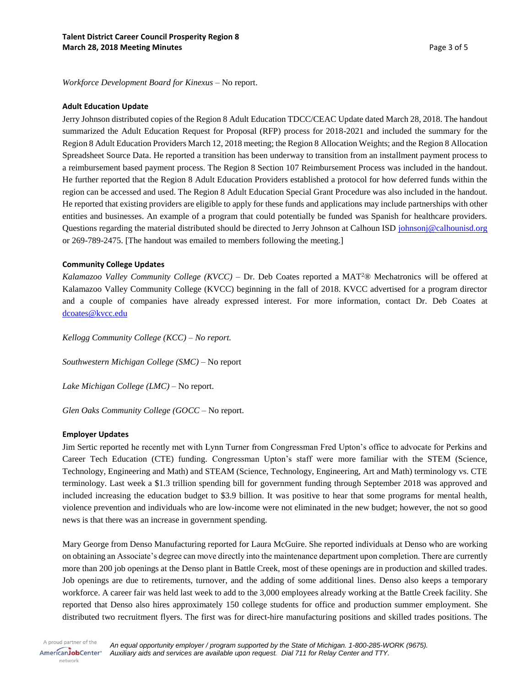*Workforce Development Board for Kinexus* – No report.

#### **Adult Education Update**

Jerry Johnson distributed copies of the Region 8 Adult Education TDCC/CEAC Update dated March 28, 2018. The handout summarized the Adult Education Request for Proposal (RFP) process for 2018-2021 and included the summary for the Region 8 Adult Education Providers March 12, 2018 meeting; the Region 8 Allocation Weights; and the Region 8 Allocation Spreadsheet Source Data. He reported a transition has been underway to transition from an installment payment process to a reimbursement based payment process. The Region 8 Section 107 Reimbursement Process was included in the handout. He further reported that the Region 8 Adult Education Providers established a protocol for how deferred funds within the region can be accessed and used. The Region 8 Adult Education Special Grant Procedure was also included in the handout. He reported that existing providers are eligible to apply for these funds and applications may include partnerships with other entities and businesses. An example of a program that could potentially be funded was Spanish for healthcare providers. Questions regarding the material distributed should be directed to Jerry Johnson at Calhoun ISD [johnsonj@calhounisd.org](mailto:johnsonj@calhounisd.org) or 269-789-2475. [The handout was emailed to members following the meeting.]

## **Community College Updates**

*Kalamazoo Valley Community College (KVCC)* – Dr. Deb Coates reported a MAT<sup>2</sup>® Mechatronics will be offered at Kalamazoo Valley Community College (KVCC) beginning in the fall of 2018. KVCC advertised for a program director and a couple of companies have already expressed interest. For more information, contact Dr. Deb Coates at [dcoates@kvcc.edu](mailto:dcoates@kvcc.edu)

*Kellogg Community College (KCC) – No report.*

*Southwestern Michigan College (SMC)* – No report

*Lake Michigan College (LMC)* – No report.

*Glen Oaks Community College (GOCC* – No report.

## **Employer Updates**

Jim Sertic reported he recently met with Lynn Turner from Congressman Fred Upton's office to advocate for Perkins and Career Tech Education (CTE) funding. Congressman Upton's staff were more familiar with the STEM (Science, Technology, Engineering and Math) and STEAM (Science, Technology, Engineering, Art and Math) terminology vs. CTE terminology. Last week a \$1.3 trillion spending bill for government funding through September 2018 was approved and included increasing the education budget to \$3.9 billion. It was positive to hear that some programs for mental health, violence prevention and individuals who are low-income were not eliminated in the new budget; however, the not so good news is that there was an increase in government spending.

Mary George from Denso Manufacturing reported for Laura McGuire. She reported individuals at Denso who are working on obtaining an Associate's degree can move directly into the maintenance department upon completion. There are currently more than 200 job openings at the Denso plant in Battle Creek, most of these openings are in production and skilled trades. Job openings are due to retirements, turnover, and the adding of some additional lines. Denso also keeps a temporary workforce. A career fair was held last week to add to the 3,000 employees already working at the Battle Creek facility. She reported that Denso also hires approximately 150 college students for office and production summer employment. She distributed two recruitment flyers. The first was for direct-hire manufacturing positions and skilled trades positions. The

A proud partner of the AmericanJobCenter<sup>®</sup> network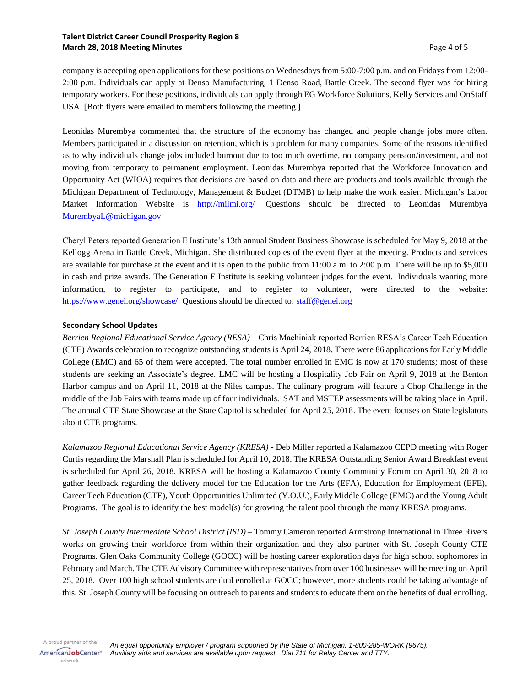company is accepting open applications for these positions on Wednesdays from 5:00-7:00 p.m. and on Fridays from 12:00- 2:00 p.m. Individuals can apply at Denso Manufacturing, 1 Denso Road, Battle Creek. The second flyer was for hiring temporary workers. For these positions, individuals can apply through EG Workforce Solutions, Kelly Services and OnStaff USA. [Both flyers were emailed to members following the meeting.]

Leonidas Murembya commented that the structure of the economy has changed and people change jobs more often. Members participated in a discussion on retention, which is a problem for many companies. Some of the reasons identified as to why individuals change jobs included burnout due to too much overtime, no company pension/investment, and not moving from temporary to permanent employment. Leonidas Murembya reported that the Workforce Innovation and Opportunity Act (WIOA) requires that decisions are based on data and there are products and tools available through the Michigan Department of Technology, Management & Budget (DTMB) to help make the work easier. Michigan's Labor Market Information Website is <http://milmi.org/> Questions should be directed to Leonidas Murembya [MurembyaL@michigan.gov](mailto:MurembyaL@michigan.gov)

Cheryl Peters reported Generation E Institute's 13th annual Student Business Showcase is scheduled for May 9, 2018 at the Kellogg Arena in Battle Creek, Michigan. She distributed copies of the event flyer at the meeting. Products and services are available for purchase at the event and it is open to the public from 11:00 a.m. to 2:00 p.m. There will be up to \$5,000 in cash and prize awards. The Generation E Institute is seeking volunteer judges for the event. Individuals wanting more information, to register to participate, and to register to volunteer, were directed to the website: <https://www.genei.org/showcase/> Questions should be directed to[: staff@genei.org](mailto:staff@genei.org)

## **Secondary School Updates**

*Berrien Regional Educational Service Agency (RESA)* – Chris Machiniak reported Berrien RESA's Career Tech Education (CTE) Awards celebration to recognize outstanding students is April 24, 2018. There were 86 applications for Early Middle College (EMC) and 65 of them were accepted. The total number enrolled in EMC is now at 170 students; most of these students are seeking an Associate's degree. LMC will be hosting a Hospitality Job Fair on April 9, 2018 at the Benton Harbor campus and on April 11, 2018 at the Niles campus. The culinary program will feature a Chop Challenge in the middle of the Job Fairs with teams made up of four individuals. SAT and MSTEP assessments will be taking place in April. The annual CTE State Showcase at the State Capitol is scheduled for April 25, 2018. The event focuses on State legislators about CTE programs.

*Kalamazoo Regional Educational Service Agency (KRESA)* - Deb Miller reported a Kalamazoo CEPD meeting with Roger Curtis regarding the Marshall Plan is scheduled for April 10, 2018. The KRESA Outstanding Senior Award Breakfast event is scheduled for April 26, 2018. KRESA will be hosting a Kalamazoo County Community Forum on April 30, 2018 to gather feedback regarding the delivery model for the Education for the Arts (EFA), Education for Employment (EFE), Career Tech Education (CTE), Youth Opportunities Unlimited (Y.O.U.), Early Middle College (EMC) and the Young Adult Programs. The goal is to identify the best model(s) for growing the talent pool through the many KRESA programs.

*St. Joseph County Intermediate School District (ISD)* – Tommy Cameron reported Armstrong International in Three Rivers works on growing their workforce from within their organization and they also partner with St. Joseph County CTE Programs. Glen Oaks Community College (GOCC) will be hosting career exploration days for high school sophomores in February and March. The CTE Advisory Committee with representatives from over 100 businesses will be meeting on April 25, 2018. Over 100 high school students are dual enrolled at GOCC; however, more students could be taking advantage of this. St. Joseph County will be focusing on outreach to parents and students to educate them on the benefits of dual enrolling.